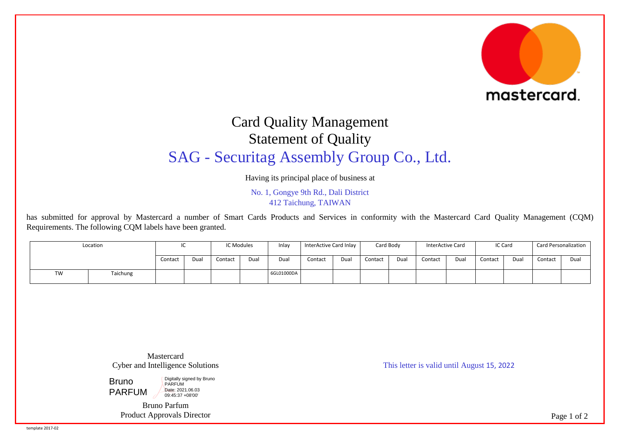

## Card Quality Management Statement of Quality SAG - Securitag Assembly Group Co., Ltd.

Having its principal place of business at

No. 1, Gongye 9th Rd., Dali District 412 Taichung, TAIWAN

has submitted for approval by Mastercard a number of Smart Cards Products and Services in conformity with the Mastercard Card Quality Management (CQM) Requirements. The following CQM labels have been granted.

| Location |          | $\sim$<br>'~ |      | IC Modules |      | Inlay      | InterActive Card Inlay |      | Card Body |     | InterActive Card |      | IC Card |      | <b>Card Personalization</b> |      |
|----------|----------|--------------|------|------------|------|------------|------------------------|------|-----------|-----|------------------|------|---------|------|-----------------------------|------|
|          |          | Contact      | Dual | Contact    | Dual | Dual       | Contact                | Dual | Contact   | Dua | Contact          | Dual | Contact | Dual | Contact                     | Dual |
| TW       | Taichung |              |      |            |      | 6GL01000DA |                        |      |           |     |                  |      |         |      |                             |      |

Mastercard Cyber and Intelligence Solutions

Bruno PARFUM Digitally signed by Bruno PARFUM Date: 2021.06.03 09:45:37 +08'00'

> Bruno Parfum Product Approvals Director

This letter is valid until August 15, 2022